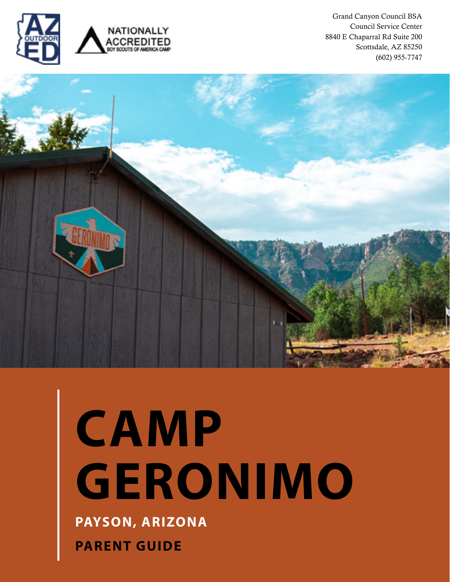

Grand Canyon Council BSA Council Service Center 8840 E Chaparral Rd Suite 200 Scottsdale, AZ 85250 (602) 955-7747



# **PAYSON, ARIZONA CAMP GERONIMO**

**PARENT GUIDE**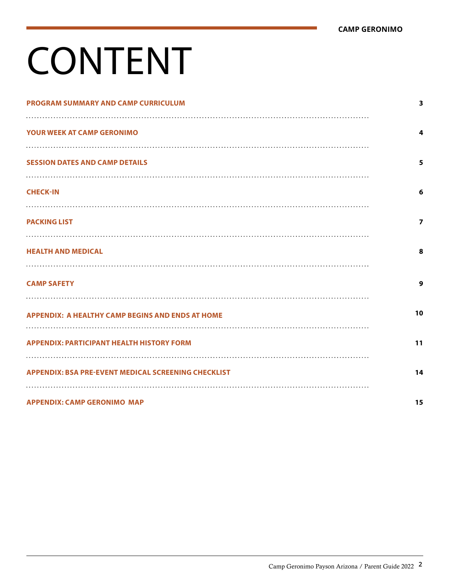# CONTENT

| <b>PROGRAM SUMMARY AND CAMP CURRICULUM</b>                 | 3                       |
|------------------------------------------------------------|-------------------------|
| <b>YOUR WEEK AT CAMP GERONIMO</b>                          | 4                       |
| .<br><b>SESSION DATES AND CAMP DETAILS</b>                 | 5                       |
| <b>CHECK-IN</b>                                            | 6                       |
| <b>PACKING LIST</b>                                        | $\overline{\mathbf{z}}$ |
| <b>HEALTH AND MEDICAL</b>                                  | 8                       |
| <b>CAMP SAFETY</b>                                         | 9                       |
| <b>APPENDIX: A HEALTHY CAMP BEGINS AND ENDS AT HOME</b>    | 10                      |
| <b>APPENDIX: PARTICIPANT HEALTH HISTORY FORM</b>           | 11                      |
| <b>APPENDIX: BSA PRE-EVENT MEDICAL SCREENING CHECKLIST</b> | 14                      |
| <b>APPENDIX: CAMP GERONIMO MAP</b>                         | 15                      |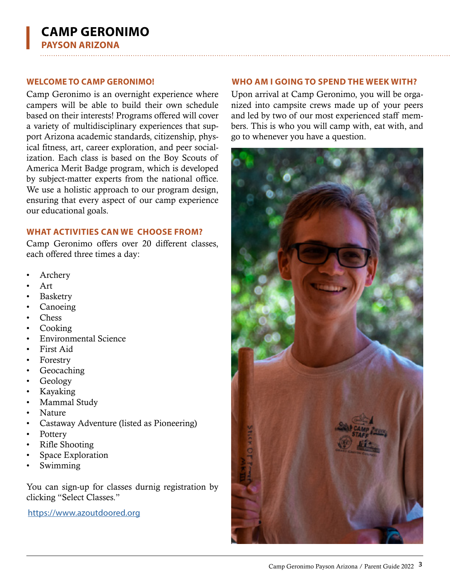Camp Geronimo is an overnight experience where campers will be able to build their own schedule based on their interests! Programs offered will cover a variety of multidisciplinary experiences that support Arizona academic standards, citizenship, physical fitness, art, career exploration, and peer socialization. Each class is based on the Boy Scouts of America Merit Badge program, which is developed by subject-matter experts from the national office. We use a holistic approach to our program design, ensuring that every aspect of our camp experience our educational goals.

### **WHAT ACTIVITIES CAN WE CHOOSE FROM?**

Camp Geronimo offers over 20 different classes, each offered three times a day:

- **Archery**
- Art
- **Basketry**
- Canoeing
- Chess
- Cooking
- Environmental Science
- First Aid
- Forestry
- **Geocaching**
- Geology
- Kayaking
- Mammal Study
- Nature
- Castaway Adventure (listed as Pioneering)
- Pottery
- Rifle Shooting
- Space Exploration
- Swimming

You can sign-up for classes durnig registration by clicking "Select Classes."

[https://www.azoutdoored.org](https://www.azoutdoored.org/)

### <span id="page-2-0"></span>**WELCOME TO CAMP GERONIMO! WHO AM I GOING TO SPEND THE WEEK WITH?**

Upon arrival at Camp Geronimo, you will be organized into campsite crews made up of your peers and led by two of our most experienced staff members. This is who you will camp with, eat with, and go to whenever you have a question.

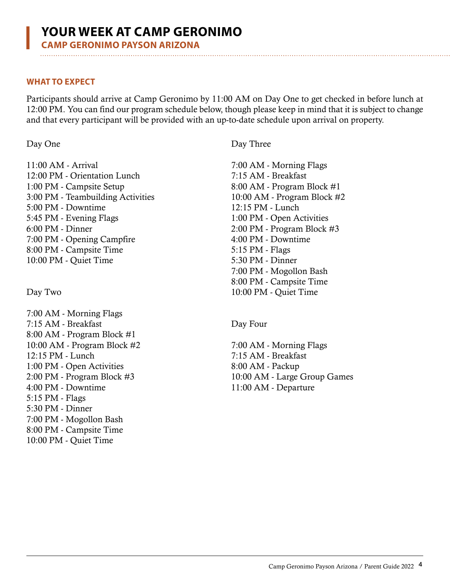<span id="page-3-0"></span>

### **WHAT TO EXPECT**

Participants should arrive at Camp Geronimo by 11:00 AM on Day One to get checked in before lunch at 12:00 PM. You can find our program schedule below, though please keep in mind that it is subject to change and that every participant will be provided with an up-to-date schedule upon arrival on property.

Day One

11:00 AM - Arrival 12:00 PM - Orientation Lunch 1:00 PM - Campsite Setup 3:00 PM - Teambuilding Activities 5:00 PM - Downtime 5:45 PM - Evening Flags 6:00 PM - Dinner 7:00 PM - Opening Campfire 8:00 PM - Campsite Time 10:00 PM - Quiet Time

Day Two

7:00 AM - Morning Flags 7:15 AM - Breakfast 8:00 AM - Program Block #1 10:00 AM - Program Block #2 12:15 PM - Lunch 1:00 PM - Open Activities 2:00 PM - Program Block #3 4:00 PM - Downtime 5:15 PM - Flags 5:30 PM - Dinner 7:00 PM - Mogollon Bash 8:00 PM - Campsite Time 10:00 PM - Quiet Time

Day Three

7:00 AM - Morning Flags 7:15 AM - Breakfast 8:00 AM - Program Block #1 10:00 AM - Program Block #2 12:15 PM - Lunch 1:00 PM - Open Activities 2:00 PM - Program Block #3 4:00 PM - Downtime 5:15 PM - Flags 5:30 PM - Dinner 7:00 PM - Mogollon Bash 8:00 PM - Campsite Time 10:00 PM - Quiet Time

Day Four

7:00 AM - Morning Flags 7:15 AM - Breakfast 8:00 AM - Packup 10:00 AM - Large Group Games 11:00 AM - Departure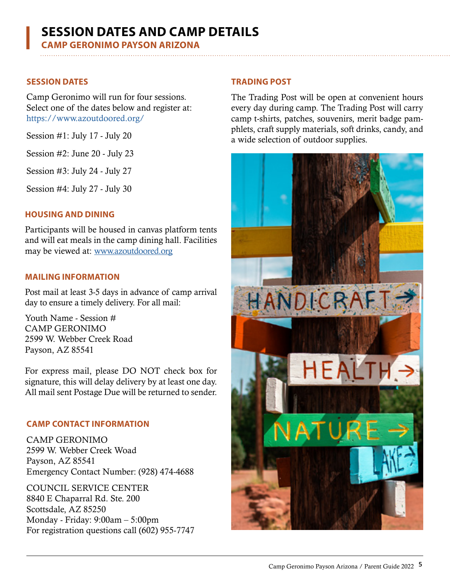## <span id="page-4-0"></span>**SESSION DATES AND CAMP DETAILS**

**CAMP GERONIMO PAYSON ARIZONA**

### **SESSION DATES**

Camp Geronimo will run for four sessions. Select one of the dates below and register at: <https://www.azoutdoored.org/>

Session #1: July 17 - July 20

Session #2: June 20 - July 23

Session #3: July 24 - July 27

Session #4: July 27 - July 30

### **HOUSING AND DINING**

Participants will be housed in canvas platform tents and will eat meals in the camp dining hall. Facilities may be viewed at: www.azoutdoored.org

### **MAILING INFORMATION**

Post mail at least 3-5 days in advance of camp arrival day to ensure a timely delivery. For all mail:

Youth Name - Session # CAMP GERONIMO 2599 W. Webber Creek Road Payson, AZ 85541

For express mail, please DO NOT check box for signature, this will delay delivery by at least one day. All mail sent Postage Due will be returned to sender.

### **CAMP CONTACT INFORMATION**

CAMP GERONIMO 2599 W. Webber Creek Woad Payson, AZ 85541 Emergency Contact Number: (928) 474-4688

COUNCIL SERVICE CENTER 8840 E Chaparral Rd. Ste. 200 Scottsdale, AZ 85250 Monday - Friday: 9:00am – 5:00pm For registration questions call (602) 955-7747

### **TRADING POST**

The Trading Post will be open at convenient hours every day during camp. The Trading Post will carry camp t-shirts, patches, souvenirs, merit badge pamphlets, craft supply materials, soft drinks, candy, and a wide selection of outdoor supplies.

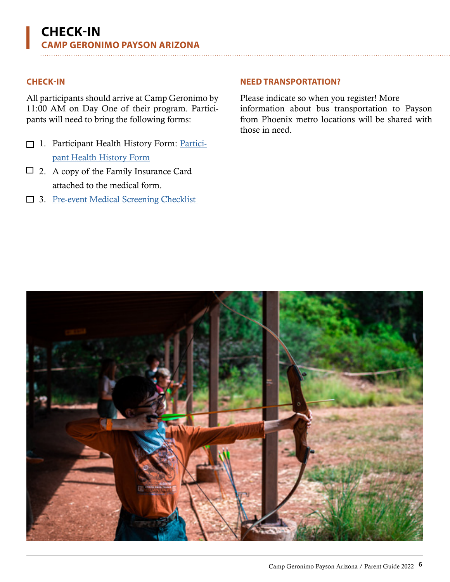### <span id="page-5-0"></span>**CHECK-IN**

All participants should arrive at Camp Geronimo by 11:00 AM on Day One of their program. Participants will need to bring the following forms:

- □ 1. Participant Health History Form: Participant Health History Form
- 2. A copy of the Family Insurance Card attached to the medical form.
- $\Box$  3. Pre-event Medical Screening Checklist

### **NEED TRANSPORTATION?**

Please indicate so when you register! More information about bus transportation to Payson from Phoenix metro locations will be shared with those in need.

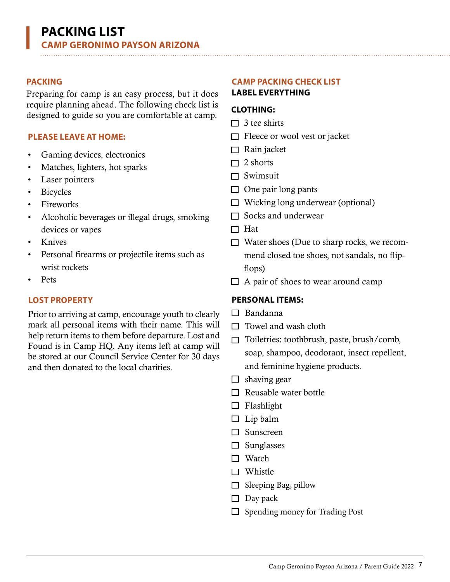Preparing for camp is an easy process, but it does require planning ahead. The following check list is designed to guide so you are comfortable at camp.  $\Box$  3 tee shirts

### **PLEASE LEAVE AT HOME:**

- Gaming devices, electronics
- Matches, lighters, hot sparks
- Laser pointers
- Bicycles
- Fireworks
- Alcoholic beverages or illegal drugs, smoking devices or vapes
- Knives
- Personal firearms or projectile items such as wrist rockets
- Pets

### **LOST PROPERTY**

Prior to arriving at camp, encourage youth to clearly mark all personal items with their name. This will help return items to them before departure. Lost and Found is in Camp HQ. Any items left at camp will be stored at our Council Service Center for 30 days and then donated to the local charities.

### <span id="page-6-0"></span>**PACKING CAMP PACKING CHECK LIST**

### **LABEL EVERYTHING**

### **CLOTHING:**

- 
- $\Box$  Fleece or wool vest or jacket
- $\Box$  Rain jacket
- $\Box$  2 shorts
- $\Box$  Swimsuit
- $\Box$  One pair long pants
- $\Box$  Wicking long underwear (optional)
- $\Box$  Socks and underwear
- $\Box$  Hat
- $\Box$  Water shoes (Due to sharp rocks, we recommend closed toe shoes, not sandals, no flipflops)
- $\Box$  A pair of shoes to wear around camp

### **PERSONAL ITEMS:**

- $\Box$  Bandanna
- $\Box$  Towel and wash cloth
- □ Toiletries: toothbrush, paste, brush/comb, soap, shampoo, deodorant, insect repellent, and feminine hygiene products.
- $\Box$  shaving gear
- $\Box$  Reusable water bottle
- $\Box$  Flashlight
- $\Box$  Lip balm
- □ Sunscreen
- $\square$  Sunglasses
- $\Box$  Watch
- $\Box$  Whistle
- $\Box$  Sleeping Bag, pillow
- $\Box$  Day pack
- $\Box$  Spending money for Trading Post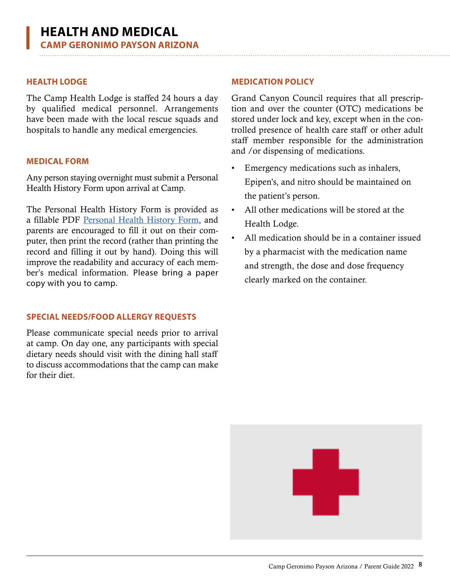The Camp Health Lodge is staffed 24 hours a day by qualified medical personnel. Arrangements have been made with the local rescue squads and hospitals to handle any medical emergencies.

### **MEDICAL FORM**

Any person staying overnight must submit a Personal Health History Form upon arrival at Camp.

The Personal Health History Form is provided as a fillable PDF Personal Health History Form, and parents are encouraged to fill it out on their computer, then print the record (rather than printing the record and filling it out by hand). Doing this will improve the readability and accuracy of each member's medical information. Please bring a paper copy with you to camp.

### **SPECIAL NEEDS/FOOD ALLERGY REQUESTS**

Please communicate special needs prior to arrival at camp. On day one, any participants with special dietary needs should visit with the dining hall staff to discuss accommodations that the camp can make for their diet.

### <span id="page-7-0"></span>**HEALTH LODGE MEDICATION POLICY**

Grand Canyon Council requires that all prescription and over the counter (OTC) medications be stored under lock and key, except when in the controlled presence of health care staff or other adult staff member responsible for the administration and /or dispensing of medications.

- Emergency medications such as inhalers, Epipen's, and nitro should be maintained on the patient's person.
- All other medications will be stored at the Health Lodge.
- All medication should be in a container issued by a pharmacist with the medication name and strength, the dose and dose frequency clearly marked on the container.

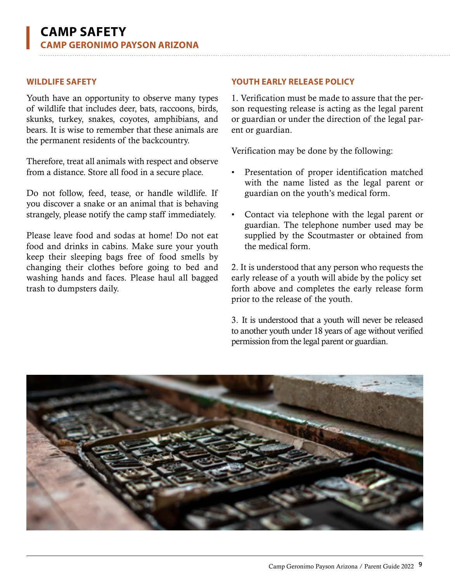Youth have an opportunity to observe many types of wildlife that includes deer, bats, raccoons, birds, skunks, turkey, snakes, coyotes, amphibians, and bears. It is wise to remember that these animals are the permanent residents of the backcountry.

Therefore, treat all animals with respect and observe from a distance. Store all food in a secure place.

Do not follow, feed, tease, or handle wildlife. If you discover a snake or an animal that is behaving strangely, please notify the camp staff immediately.

Please leave food and sodas at home! Do not eat food and drinks in cabins. Make sure your youth keep their sleeping bags free of food smells by changing their clothes before going to bed and washing hands and faces. Please haul all bagged trash to dumpsters daily.

### <span id="page-8-0"></span>**WILDLIFE SAFETY YOUTH EARLY RELEASE POLICY**

1. Verification must be made to assure that the person requesting release is acting as the legal parent or guardian or under the direction of the legal parent or guardian.

Verification may be done by the following:

- Presentation of proper identification matched with the name listed as the legal parent or guardian on the youth's medical form.
- Contact via telephone with the legal parent or guardian. The telephone number used may be supplied by the Scoutmaster or obtained from the medical form.

2. It is understood that any person who requests the early release of a youth will abide by the policy set forth above and completes the early release form prior to the release of the youth.

3. It is understood that a youth will never be released to another youth under 18 years of age without verified permission from the legal parent or guardian.

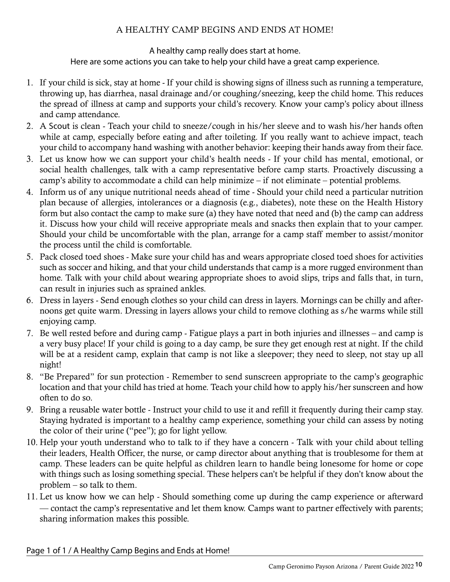### A HEALTHY CAMP BEGINS AND ENDS AT HOME!

### A healthy camp really does start at home. Here are some actions you can take to help your child have a great camp experience.

- <span id="page-9-0"></span>1. If your child is sick, stay at home - If your child is showing signs of illness such as running a temperature, throwing up, has diarrhea, nasal drainage and/or coughing/sneezing, keep the child home. This reduces the spread of illness at camp and supports your child's recovery. Know your camp's policy about illness and camp attendance.
- 2. A Scout is clean Teach your child to sneeze/cough in his/her sleeve and to wash his/her hands often while at camp, especially before eating and after toileting. If you really want to achieve impact, teach your child to accompany hand washing with another behavior: keeping their hands away from their face.
- 3. Let us know how we can support your child's health needs If your child has mental, emotional, or social health challenges, talk with a camp representative before camp starts. Proactively discussing a camp's ability to accommodate a child can help minimize – if not eliminate – potential problems.
- 4. Inform us of any unique nutritional needs ahead of time Should your child need a particular nutrition plan because of allergies, intolerances or a diagnosis (e.g., diabetes), note these on the Health History form but also contact the camp to make sure (a) they have noted that need and (b) the camp can address it. Discuss how your child will receive appropriate meals and snacks then explain that to your camper. Should your child be uncomfortable with the plan, arrange for a camp staff member to assist/monitor the process until the child is comfortable.
- 5. Pack closed toed shoes Make sure your child has and wears appropriate closed toed shoes for activities such as soccer and hiking, and that your child understands that camp is a more rugged environment than home. Talk with your child about wearing appropriate shoes to avoid slips, trips and falls that, in turn, can result in injuries such as sprained ankles.
- 6. Dress in layers Send enough clothes so your child can dress in layers. Mornings can be chilly and afternoons get quite warm. Dressing in layers allows your child to remove clothing as s/he warms while still enjoying camp.
- 7. Be well rested before and during camp Fatigue plays a part in both injuries and illnesses and camp is a very busy place! If your child is going to a day camp, be sure they get enough rest at night. If the child will be at a resident camp, explain that camp is not like a sleepover; they need to sleep, not stay up all night!
- 8. "Be Prepared" for sun protection Remember to send sunscreen appropriate to the camp's geographic location and that your child has tried at home. Teach your child how to apply his/her sunscreen and how often to do so.
- 9. Bring a reusable water bottle Instruct your child to use it and refill it frequently during their camp stay. Staying hydrated is important to a healthy camp experience, something your child can assess by noting the color of their urine ("pee"); go for light yellow.
- 10. Help your youth understand who to talk to if they have a concern Talk with your child about telling their leaders, Health Officer, the nurse, or camp director about anything that is troublesome for them at camp. These leaders can be quite helpful as children learn to handle being lonesome for home or cope with things such as losing something special. These helpers can't be helpful if they don't know about the problem – so talk to them.
- 11. Let us know how we can help Should something come up during the camp experience or afterward –– contact the camp's representative and let them know. Camps want to partner effectively with parents; sharing information makes this possible.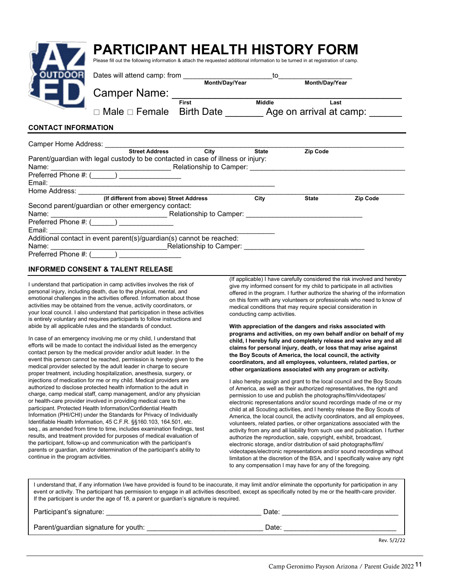<span id="page-10-0"></span>

|                            | PARTICIPANT HEALTH HISTORY FORM<br>Please fill out the following information & attach the requested additional information to be turned in at registration of camp.                                                            |                         |              |                                                                                                                                 |          |
|----------------------------|--------------------------------------------------------------------------------------------------------------------------------------------------------------------------------------------------------------------------------|-------------------------|--------------|---------------------------------------------------------------------------------------------------------------------------------|----------|
| <b>DUTDOOR</b>             |                                                                                                                                                                                                                                |                         |              | $\overline{10}$ $\overline{10}$ $\overline{10}$ $\overline{10}$ $\overline{10}$ $\overline{10}$ $\overline{10}$ $\overline{10}$ |          |
|                            | Camper Name: _                                                                                                                                                                                                                 |                         |              | Month/Day/Year                                                                                                                  |          |
|                            | Male □ Female Birth Date Age on arrival at camp:                                                                                                                                                                               | Middle<br>First         |              | Last                                                                                                                            |          |
| <b>CONTACT INFORMATION</b> |                                                                                                                                                                                                                                |                         |              |                                                                                                                                 |          |
|                            | Camper Home Address: Camper Home Address:                                                                                                                                                                                      |                         |              |                                                                                                                                 |          |
|                            | Street Address City                                                                                                                                                                                                            |                         | <b>State</b> | <b>Zip Code</b>                                                                                                                 |          |
|                            | Parent/guardian with legal custody to be contacted in case of illness or injury:                                                                                                                                               |                         |              |                                                                                                                                 |          |
|                            |                                                                                                                                                                                                                                |                         |              |                                                                                                                                 |          |
|                            | Preferred Phone #: (_____) _________________                                                                                                                                                                                   |                         |              |                                                                                                                                 |          |
| Email:                     |                                                                                                                                                                                                                                |                         |              |                                                                                                                                 |          |
|                            | Home Address: North States and States and States and States and States and States and States and States and States and States and States and States and States and States and States and States and States and States and Stat |                         |              |                                                                                                                                 |          |
|                            | (If different from above) Street Address                                                                                                                                                                                       |                         | City         | <b>State</b>                                                                                                                    | Zip Code |
|                            | Second parent/guardian or other emergency contact:                                                                                                                                                                             |                         |              |                                                                                                                                 |          |
| Name:                      |                                                                                                                                                                                                                                | Relationship to Camper: |              |                                                                                                                                 |          |

| $1.1$ GIGH GU THUIG $\pi.1$ |                                                                      |  |
|-----------------------------|----------------------------------------------------------------------|--|
| Email:                      |                                                                      |  |
|                             | Additional contact in event parent(s)/guardian(s) cannot be reached: |  |
| Name:                       | Relationship to Camper:                                              |  |
| Preferred Phone #: (        |                                                                      |  |

### **INFORMED CONSENT & TALENT RELEASE**

Preferred Phone #: (\_\_\_\_\_\_) \_\_\_\_\_\_\_\_\_\_\_\_\_\_

I understand that participation in camp activities involves the risk of personal injury, including death, due to the physical, mental, and emotional challenges in the activities offered. Information about those activities may be obtained from the venue, activity coordinators, or your local council. I also understand that participation in these activities is entirely voluntary and requires participants to follow instructions and abide by all applicable rules and the standards of conduct.

In case of an emergency involving me or my child, I understand that efforts will be made to contact the individual listed as the emergency contact person by the medical provider and/or adult leader. In the event this person cannot be reached, permission is hereby given to the medical provider selected by the adult leader in charge to secure proper treatment, including hospitalization, anesthesia, surgery, or injections of medication for me or my child. Medical providers are authorized to disclose protected health information to the adult in charge, camp medical staff, camp management, and/or any physician or health-care provider involved in providing medical care to the participant. Protected Health Information/Confidential Health Information (PHI/CHI) under the Standards for Privacy of Individually Identifiable Health Information, 45 C.F.R. §§160.103, 164.501, etc. seq., as amended from time to time, includes examination findings, test results, and treatment provided for purposes of medical evaluation of the participant, follow-up and communication with the participant's parents or guardian, and/or determination of the participant's ability to continue in the program activities.

(If applicable) I have carefully considered the risk involved and hereby give my informed consent for my child to participate in all activities offered in the program. I further authorize the sharing of the information on this form with any volunteers or professionals who need to know of medical conditions that may require special consideration in conducting camp activities.

**With appreciation of the dangers and risks associated with programs and activities, on my own behalf and/or on behalf of my child, I hereby fully and completely release and waive any and all claims for personal injury, death, or loss that may arise against the Boy Scouts of America, the local council, the activity coordinators, and all employees, volunteers, related parties, or other organizations associated with any program or activity.**

I also hereby assign and grant to the local council and the Boy Scouts of America, as well as their authorized representatives, the right and permission to use and publish the photographs/film/videotapes/ electronic representations and/or sound recordings made of me or my child at all Scouting activities, and I hereby release the Boy Scouts of America, the local council, the activity coordinators, and all employees, volunteers, related parties, or other organizations associated with the activity from any and all liability from such use and publication. I further authorize the reproduction, sale, copyright, exhibit, broadcast, electronic storage, and/or distribution of said photographs/film/ videotapes/electronic representations and/or sound recordings without limitation at the discretion of the BSA, and I specifically waive any right to any compensation I may have for any of the foregoing.

I understand that, if any information I/we have provided is found to be inaccurate, it may limit and/or eliminate the opportunity for participation in any event or activity. The participant has permission to engage in all activities described, except as specifically noted by me or the health-care provider. If the participant is under the age of 18, a parent or guardian's signature is required.

| Participant's signature:             | Date: |             |
|--------------------------------------|-------|-------------|
| Parent/guardian signature for youth: | Date: |             |
|                                      |       | Rev. 5/2/22 |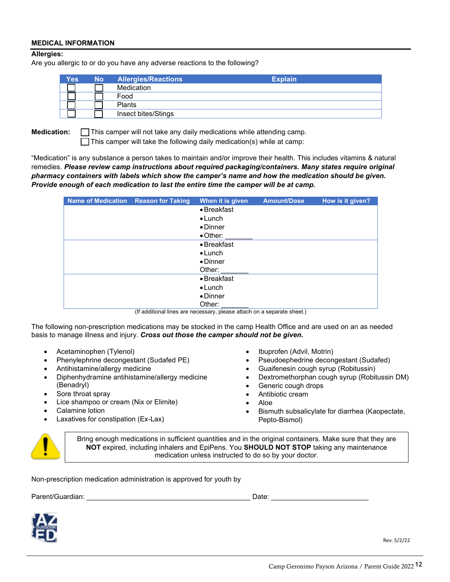### **MEDICAL INFORMATION**

### **Allergies:**

Are you allergic to or do you have any adverse reactions to the following?

| <b>Yes</b> | <b>No</b> | <b>Allergies/Reactions</b> | <b>Explain</b> |
|------------|-----------|----------------------------|----------------|
|            |           | Medication                 |                |
|            |           | Food                       |                |
|            |           | <b>Plants</b>              |                |
|            |           | Insect bites/Stings        |                |

**Medication: T** This camper will not take any daily medications while attending camp.  $\Box$  This camper will take the following daily medication(s) while at camp:

"Medication" is any substance a person takes to maintain and/or improve their health. This includes vitamins & natural remedies. *Please review camp instructions about required packaging/containers. Many states require original pharmacy containers with labels which show the camper's name and how the medication should be given. Provide enough of each medication to last the entire time the camper will be at camp.*

| Name of Medication Reason for Taking | When it is given    | <b>Amount/Dose</b> | How is it given? |
|--------------------------------------|---------------------|--------------------|------------------|
|                                      | $\bullet$ Breakfast |                    |                  |
|                                      | $\bullet$ Lunch     |                    |                  |
|                                      | $\bullet$ Dinner    |                    |                  |
|                                      | $\bullet$ Other:    |                    |                  |
|                                      | $\bullet$ Breakfast |                    |                  |
|                                      | $\bullet$ Lunch     |                    |                  |
|                                      | $\bullet$ Dinner    |                    |                  |
|                                      | Other:              |                    |                  |
|                                      | $\bullet$ Breakfast |                    |                  |
|                                      | $\bullet$ Lunch     |                    |                  |
|                                      | $\bullet$ Dinner    |                    |                  |
|                                      | Other:              |                    |                  |

(If additional lines are necessary, please attach on a separate sheet.)

The following non-prescription medications may be stocked in the camp Health Office and are used on an as needed basis to manage illness and injury. *Cross out those the camper should not be given.*

- Acetaminophen (Tylenol)
- Phenylephrine decongestant (Sudafed PE)
- Antihistamine/allergy medicine
- Diphenhydramine antihistamine/allergy medicine (Benadryl)
- Sore throat spray
- Lice shampoo or cream (Nix or Elimite)
- Calamine lotion
- Laxatives for constipation (Ex-Lax)
- Ibuprofen (Advil, Motrin)
- Pseudoephedrine decongestant (Sudafed)
- Guaifenesin cough syrup (Robitussin)
- Dextromethorphan cough syrup (Robitussin DM)
- Generic cough drops
- Antibiotic cream
- Aloe
- Bismuth subsalicylate for diarrhea (Kaopectate, Pepto-Bismol)



Bring enough medications in sufficient quantities and in the original containers. Make sure that they are **NOT** expired, including inhalers and EpiPens. You **SHOULD NOT STOP** taking any maintenance medication unless instructed to do so by your doctor.

Non-prescription medication administration is approved for youth by

Parent/Guardian: \_\_\_\_\_\_\_\_\_\_\_\_\_\_\_\_\_\_\_\_\_\_\_\_\_\_\_\_\_\_\_\_\_\_\_\_\_\_\_\_\_\_ Date: \_\_\_\_\_\_\_\_\_\_\_\_\_\_\_\_\_\_\_\_\_\_\_\_\_



Rev. 5/2/22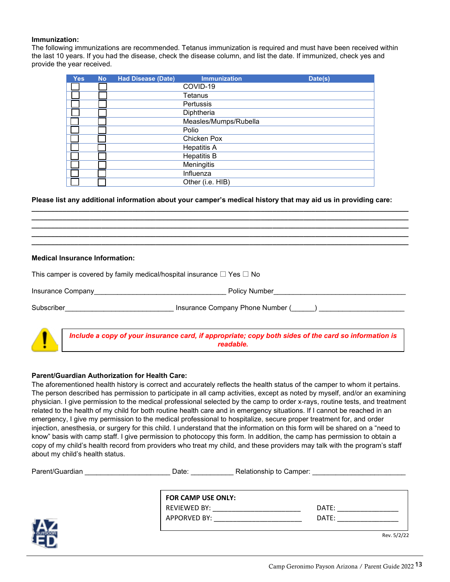### **Immunization:**

The following immunizations are recommended. Tetanus immunization is required and must have been received within the last 10 years. If you had the disease, check the disease column, and list the date. If immunized, check yes and provide the year received.

| <b>Yes</b> | <b>No</b> | <b>Had Disease (Date)</b> | <b>Immunization</b>   | Date(s) |
|------------|-----------|---------------------------|-----------------------|---------|
|            |           |                           | COVID-19              |         |
|            |           |                           | Tetanus               |         |
|            |           |                           | Pertussis             |         |
|            |           |                           | Diphtheria            |         |
|            |           |                           | Measles/Mumps/Rubella |         |
|            |           |                           | Polio                 |         |
|            |           |                           | Chicken Pox           |         |
|            |           |                           | <b>Hepatitis A</b>    |         |
|            |           |                           | <b>Hepatitis B</b>    |         |
|            |           |                           | Meningitis            |         |
|            |           |                           | Influenza             |         |
|            |           |                           | Other (i.e. HIB)      |         |

### **Please list any additional information about your camper's medical history that may aid us in providing care:**

**\_\_\_\_\_\_\_\_\_\_\_\_\_\_\_\_\_\_\_\_\_\_\_\_\_\_\_\_\_\_\_\_\_\_\_\_\_\_\_\_\_\_\_\_\_\_\_\_\_\_\_\_\_\_\_\_\_\_\_\_\_\_\_\_\_\_\_\_\_\_\_\_\_\_\_\_\_\_\_\_\_\_\_\_\_\_\_\_\_\_\_\_\_\_\_\_\_ \_\_\_\_\_\_\_\_\_\_\_\_\_\_\_\_\_\_\_\_\_\_\_\_\_\_\_\_\_\_\_\_\_\_\_\_\_\_\_\_\_\_\_\_\_\_\_\_\_\_\_\_\_\_\_\_\_\_\_\_\_\_\_\_\_\_\_\_\_\_\_\_\_\_\_\_\_\_\_\_\_\_\_\_\_\_\_\_\_\_\_\_\_\_\_\_\_ \_\_\_\_\_\_\_\_\_\_\_\_\_\_\_\_\_\_\_\_\_\_\_\_\_\_\_\_\_\_\_\_\_\_\_\_\_\_\_\_\_\_\_\_\_\_\_\_\_\_\_\_\_\_\_\_\_\_\_\_\_\_\_\_\_\_\_\_\_\_\_\_\_\_\_\_\_\_\_\_\_\_\_\_\_\_\_\_\_\_\_\_\_\_\_\_\_ \_\_\_\_\_\_\_\_\_\_\_\_\_\_\_\_\_\_\_\_\_\_\_\_\_\_\_\_\_\_\_\_\_\_\_\_\_\_\_\_\_\_\_\_\_\_\_\_\_\_\_\_\_\_\_\_\_\_\_\_\_\_\_\_\_\_\_\_\_\_\_\_\_\_\_\_\_\_\_\_\_\_\_\_\_\_\_\_\_\_\_\_\_\_\_\_\_ \_\_\_\_\_\_\_\_\_\_\_\_\_\_\_\_\_\_\_\_\_\_\_\_\_\_\_\_\_\_\_\_\_\_\_\_\_\_\_\_\_\_\_\_\_\_\_\_\_\_\_\_\_\_\_\_\_\_\_\_\_\_\_\_\_\_\_\_\_\_\_\_\_\_\_\_\_\_\_\_\_\_\_\_\_\_\_\_\_\_\_\_\_\_\_\_\_**

### **Medical Insurance Information:**

|                   | This camper is covered by family medical/hospital insurance $\square$ Yes $\square$ No |                                                                                                                   |
|-------------------|----------------------------------------------------------------------------------------|-------------------------------------------------------------------------------------------------------------------|
| Insurance Company |                                                                                        | <b>Policy Number</b>                                                                                              |
| Subscriber        |                                                                                        | Insurance Company Phone Number ()                                                                                 |
|                   |                                                                                        | Include a copy of your insurance card, if appropriate; copy both sides of the card so information is<br>readable. |

### **Parent/Guardian Authorization for Health Care:**

The aforementioned health history is correct and accurately reflects the health status of the camper to whom it pertains. The person described has permission to participate in all camp activities, except as noted by myself, and/or an examining physician. I give permission to the medical professional selected by the camp to order x-rays, routine tests, and treatment related to the health of my child for both routine health care and in emergency situations. If I cannot be reached in an emergency, I give my permission to the medical professional to hospitalize, secure proper treatment for, and order injection, anesthesia, or surgery for this child. I understand that the information on this form will be shared on a "need to know" basis with camp staff. I give permission to photocopy this form. In addition, the camp has permission to obtain a copy of my child's health record from providers who treat my child, and these providers may talk with the program's staff about my child's health status.

|                    | Relationship to Camper: |
|--------------------|-------------------------|
| FOR CAMP USE ONLY: |                         |
| REVIEWED BY:       | DATE:                   |
| APPORVED BY:       | DATE:                   |
|                    | Rev. 5/2/22             |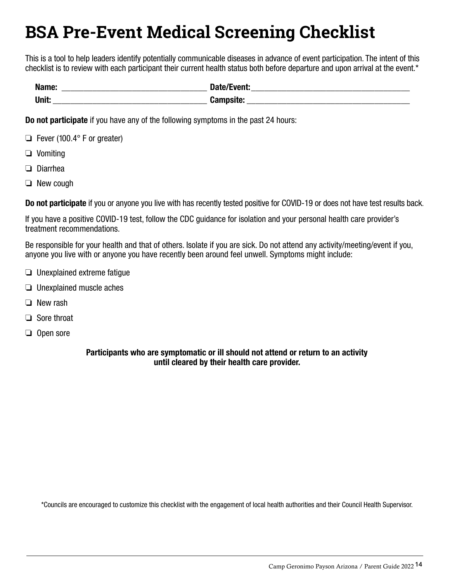## <span id="page-13-0"></span>**BSA Pre-Event Medical Screening Checklist**

This is a tool to help leaders identify potentially communicable diseases in advance of event participation. The intent of this checklist is to review with each participant their current health status both before departure and upon arrival at the event.\*

| Name:<br>___ | <b>Date/Fyent</b> |
|--------------|-------------------|
| Unit.        | <b>Campsite:</b>  |

Do not participate if you have any of the following symptoms in the past 24 hours:

- ❏ Fever (100.4° F or greater)
- ❏ Vomiting
- ❏ Diarrhea
- ❏ New cough

Do not participate if you or anyone you live with has recently tested positive for COVID-19 or does not have test results back.

If you have a positive COVID-19 test, follow the CDC guidance for isolation and your personal health care provider's treatment recommendations.

Be responsible for your health and that of others. Isolate if you are sick. Do not attend any activity/meeting/event if you, anyone you live with or anyone you have recently been around feel unwell. Symptoms might include:

- ❏ Unexplained extreme fatigue
- ❏ Unexplained muscle aches
- ❏ New rash
- ❏ Sore throat
- ❏ Open sore

### Participants who are symptomatic or ill should not attend or return to an activity until cleared by their health care provider.

\*Councils are encouraged to customize this checklist with the engagement of local health authorities and their Council Health Supervisor.

680-102